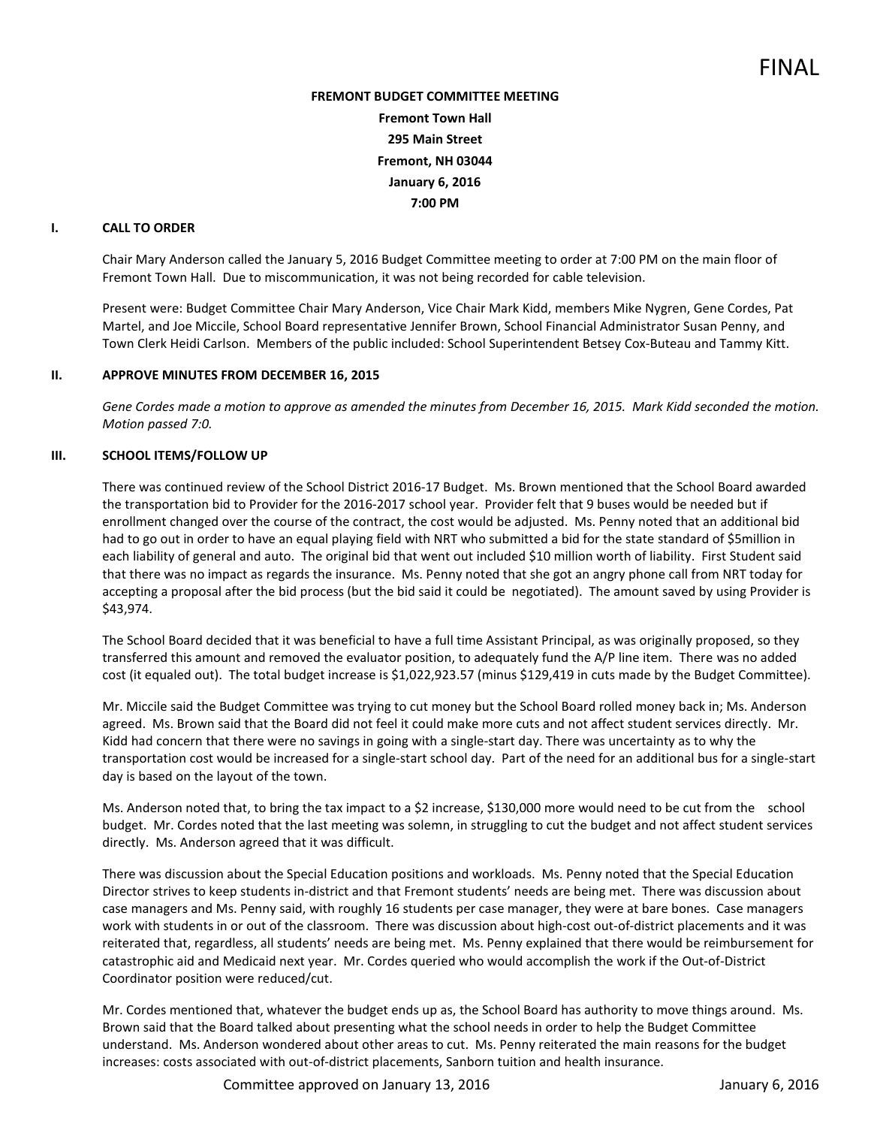# **FREMONT BUDGET COMMITTEE MEETING Fremont Town Hall 295 Main Street Fremont, NH 03044 January 6, 2016 7:00 PM**

## **I. CALL TO ORDER**

Chair Mary Anderson called the January 5, 2016 Budget Committee meeting to order at 7:00 PM on the main floor of Fremont Town Hall. Due to miscommunication, it was not being recorded for cable television.

Present were: Budget Committee Chair Mary Anderson, Vice Chair Mark Kidd, members Mike Nygren, Gene Cordes, Pat Martel, and Joe Miccile, School Board representative Jennifer Brown, School Financial Administrator Susan Penny, and Town Clerk Heidi Carlson. Members of the public included: School Superintendent Betsey Cox-Buteau and Tammy Kitt.

### **II. APPROVE MINUTES FROM DECEMBER 16, 2015**

Gene Cordes made a motion to approve as amended the minutes from December 16, 2015. Mark Kidd seconded the motion. *Motion passed 7:0.* 

## **III. SCHOOL ITEMS/FOLLOW UP**

There was continued review of the School District 2016-17 Budget. Ms. Brown mentioned that the School Board awarded the transportation bid to Provider for the 2016-2017 school year. Provider felt that 9 buses would be needed but if enrollment changed over the course of the contract, the cost would be adjusted. Ms. Penny noted that an additional bid had to go out in order to have an equal playing field with NRT who submitted a bid for the state standard of \$5million in each liability of general and auto. The original bid that went out included \$10 million worth of liability. First Student said that there was no impact as regards the insurance. Ms. Penny noted that she got an angry phone call from NRT today for accepting a proposal after the bid process (but the bid said it could be negotiated). The amount saved by using Provider is \$43,974.

The School Board decided that it was beneficial to have a full time Assistant Principal, as was originally proposed, so they transferred this amount and removed the evaluator position, to adequately fund the A/P line item. There was no added cost (it equaled out). The total budget increase is \$1,022,923.57 (minus \$129,419 in cuts made by the Budget Committee).

Mr. Miccile said the Budget Committee was trying to cut money but the School Board rolled money back in; Ms. Anderson agreed. Ms. Brown said that the Board did not feel it could make more cuts and not affect student services directly. Mr. Kidd had concern that there were no savings in going with a single-start day. There was uncertainty as to why the transportation cost would be increased for a single-start school day. Part of the need for an additional bus for a single-start day is based on the layout of the town.

Ms. Anderson noted that, to bring the tax impact to a \$2 increase, \$130,000 more would need to be cut from the school budget. Mr. Cordes noted that the last meeting was solemn, in struggling to cut the budget and not affect student services directly. Ms. Anderson agreed that it was difficult.

There was discussion about the Special Education positions and workloads. Ms. Penny noted that the Special Education Director strives to keep students in-district and that Fremont students' needs are being met. There was discussion about case managers and Ms. Penny said, with roughly 16 students per case manager, they were at bare bones. Case managers work with students in or out of the classroom. There was discussion about high-cost out-of-district placements and it was reiterated that, regardless, all students' needs are being met. Ms. Penny explained that there would be reimbursement for catastrophic aid and Medicaid next year. Mr. Cordes queried who would accomplish the work if the Out-of-District Coordinator position were reduced/cut.

Mr. Cordes mentioned that, whatever the budget ends up as, the School Board has authority to move things around. Ms. Brown said that the Board talked about presenting what the school needs in order to help the Budget Committee understand. Ms. Anderson wondered about other areas to cut. Ms. Penny reiterated the main reasons for the budget increases: costs associated with out-of-district placements, Sanborn tuition and health insurance.

Committee approved on January 13, 2016 January 6, 2016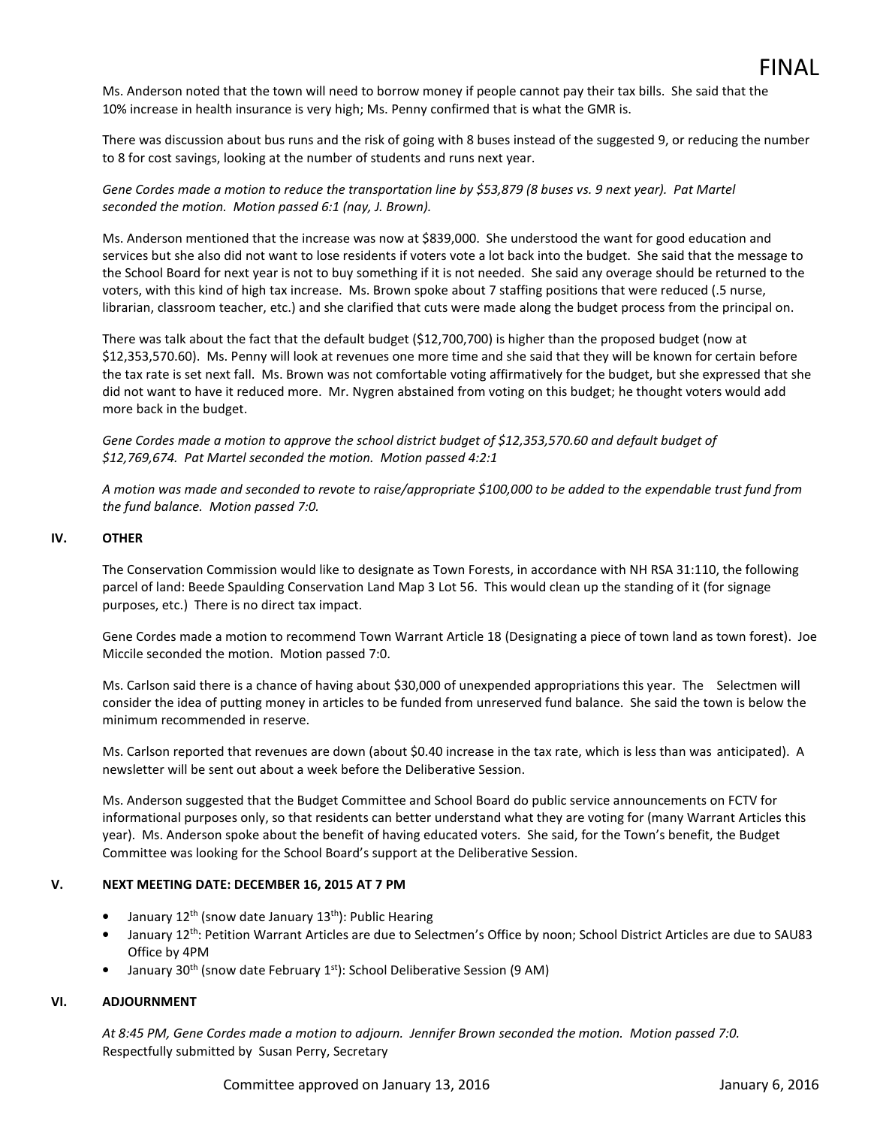Ms. Anderson noted that the town will need to borrow money if people cannot pay their tax bills. She said that the 10% increase in health insurance is very high; Ms. Penny confirmed that is what the GMR is.

There was discussion about bus runs and the risk of going with 8 buses instead of the suggested 9, or reducing the number to 8 for cost savings, looking at the number of students and runs next year.

*Gene Cordes made a motion to reduce the transportation line by \$53,879 (8 buses vs. 9 next year). Pat Martel seconded the motion. Motion passed 6:1 (nay, J. Brown).* 

Ms. Anderson mentioned that the increase was now at \$839,000. She understood the want for good education and services but she also did not want to lose residents if voters vote a lot back into the budget. She said that the message to the School Board for next year is not to buy something if it is not needed. She said any overage should be returned to the voters, with this kind of high tax increase. Ms. Brown spoke about 7 staffing positions that were reduced (.5 nurse, librarian, classroom teacher, etc.) and she clarified that cuts were made along the budget process from the principal on.

There was talk about the fact that the default budget (\$12,700,700) is higher than the proposed budget (now at \$12,353,570.60). Ms. Penny will look at revenues one more time and she said that they will be known for certain before the tax rate is set next fall. Ms. Brown was not comfortable voting affirmatively for the budget, but she expressed that she did not want to have it reduced more. Mr. Nygren abstained from voting on this budget; he thought voters would add more back in the budget.

*Gene Cordes made a motion to approve the school district budget of \$12,353,570.60 and default budget of \$12,769,674. Pat Martel seconded the motion. Motion passed 4:2:1* 

*A motion was made and seconded to revote to raise/appropriate \$100,000 to be added to the expendable trust fund from the fund balance. Motion passed 7:0.* 

## **IV. OTHER**

The Conservation Commission would like to designate as Town Forests, in accordance with NH RSA 31:110, the following parcel of land: Beede Spaulding Conservation Land Map 3 Lot 56. This would clean up the standing of it (for signage purposes, etc.) There is no direct tax impact.

Gene Cordes made a motion to recommend Town Warrant Article 18 (Designating a piece of town land as town forest). Joe Miccile seconded the motion. Motion passed 7:0.

Ms. Carlson said there is a chance of having about \$30,000 of unexpended appropriations this year. The Selectmen will consider the idea of putting money in articles to be funded from unreserved fund balance. She said the town is below the minimum recommended in reserve.

Ms. Carlson reported that revenues are down (about \$0.40 increase in the tax rate, which is less than was anticipated). A newsletter will be sent out about a week before the Deliberative Session.

Ms. Anderson suggested that the Budget Committee and School Board do public service announcements on FCTV for informational purposes only, so that residents can better understand what they are voting for (many Warrant Articles this year). Ms. Anderson spoke about the benefit of having educated voters. She said, for the Town's benefit, the Budget Committee was looking for the School Board's support at the Deliberative Session.

## **V. NEXT MEETING DATE: DECEMBER 16, 2015 AT 7 PM**

- January 12<sup>th</sup> (snow date January 13<sup>th</sup>): Public Hearing
- January 12<sup>th</sup>: Petition Warrant Articles are due to Selectmen's Office by noon; School District Articles are due to SAU83 Office by 4PM
- January 30<sup>th</sup> (snow date February 1<sup>st</sup>): School Deliberative Session (9 AM)

### **VI. ADJOURNMENT**

*At 8:45 PM, Gene Cordes made a motion to adjourn. Jennifer Brown seconded the motion. Motion passed 7:0.* Respectfully submitted by Susan Perry, Secretary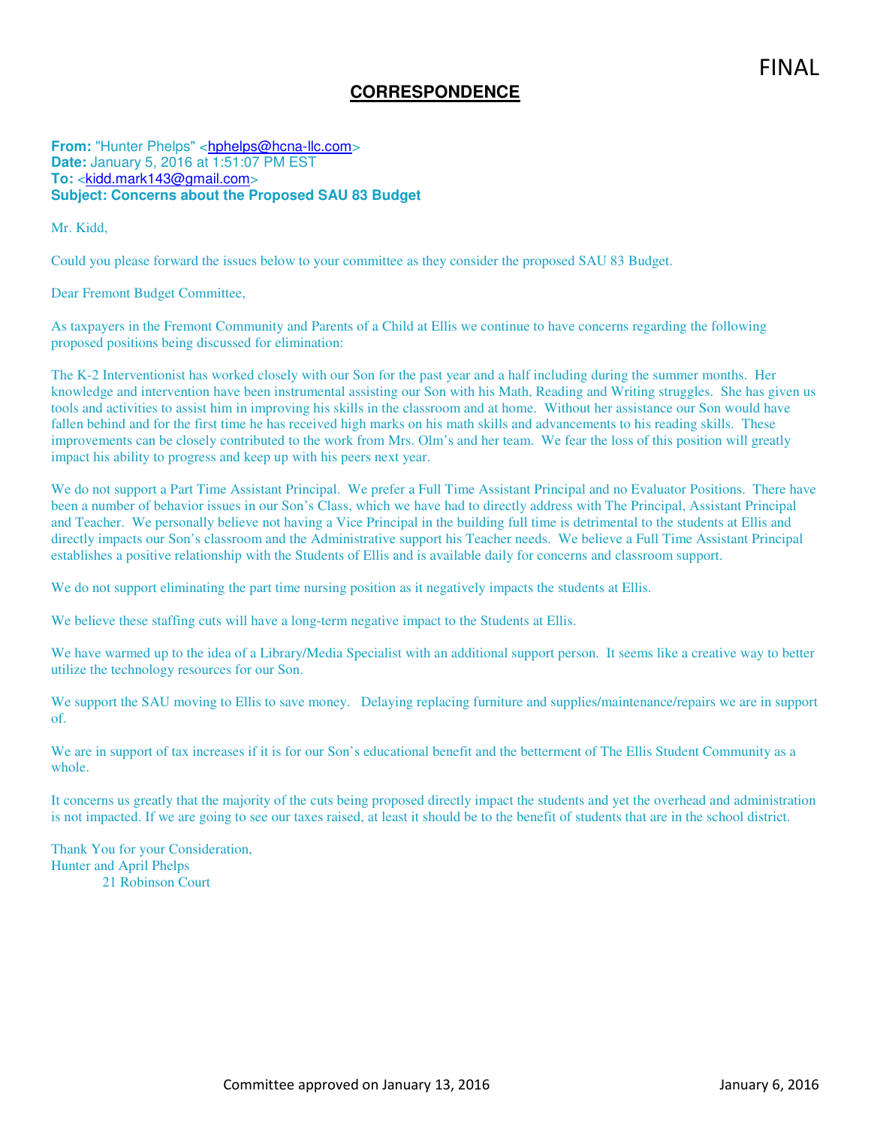# **CORRESPONDENCE**

**From:** "Hunter Phelps" <hphelps@hcna-llc.com> **Date:** January 5, 2016 at 1:51:07 PM EST **To:** <kidd.mark143@gmail.com> **Subject: Concerns about the Proposed SAU 83 Budget**

Mr. Kidd,

Could you please forward the issues below to your committee as they consider the proposed SAU 83 Budget.

Dear Fremont Budget Committee,

As taxpayers in the Fremont Community and Parents of a Child at Ellis we continue to have concerns regarding the following proposed positions being discussed for elimination:

The K-2 Interventionist has worked closely with our Son for the past year and a half including during the summer months. Her knowledge and intervention have been instrumental assisting our Son with his Math, Reading and Writing struggles. She has given us tools and activities to assist him in improving his skills in the classroom and at home. Without her assistance our Son would have fallen behind and for the first time he has received high marks on his math skills and advancements to his reading skills. These improvements can be closely contributed to the work from Mrs. Olm's and her team. We fear the loss of this position will greatly impact his ability to progress and keep up with his peers next year.

We do not support a Part Time Assistant Principal. We prefer a Full Time Assistant Principal and no Evaluator Positions. There have been a number of behavior issues in our Son's Class, which we have had to directly address with The Principal, Assistant Principal and Teacher. We personally believe not having a Vice Principal in the building full time is detrimental to the students at Ellis and directly impacts our Son's classroom and the Administrative support his Teacher needs. We believe a Full Time Assistant Principal establishes a positive relationship with the Students of Ellis and is available daily for concerns and classroom support.

We do not support eliminating the part time nursing position as it negatively impacts the students at Ellis.

We believe these staffing cuts will have a long-term negative impact to the Students at Ellis.

We have warmed up to the idea of a Library/Media Specialist with an additional support person. It seems like a creative way to better utilize the technology resources for our Son.

We support the SAU moving to Ellis to save money. Delaying replacing furniture and supplies/maintenance/repairs we are in support of.

We are in support of tax increases if it is for our Son's educational benefit and the betterment of The Ellis Student Community as a whole.

It concerns us greatly that the majority of the cuts being proposed directly impact the students and yet the overhead and administration is not impacted. If we are going to see our taxes raised, at least it should be to the benefit of students that are in the school district.

Thank You for your Consideration, Hunter and April Phelps 21 Robinson Court